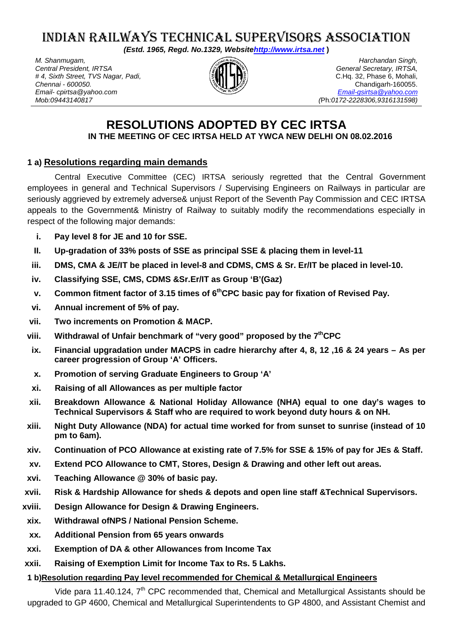# INDIAN RAILWAYS TECHNICAL SUPERVISORS ASSOCIATION

*(Estd. 1965, Regd. No.1329, Websit[ehttp://www.irtsa.net](http://www.irtsa.net/)* **)**

*M. Shanmugam, Central President, IRTSA # 4, Sixth Street, TVS Nagar, Padi, Chennai - 600050. Email- cpirtsa@yahoo.com Mob:09443140817*



*Harchandan Singh, General Secretary, IRTSA,* C.Hq. 32, Phase 6, Mohali, Chandigarh-160055. *[Email-gsirtsa@yahoo.com](mailto:Email-gsirtsa@yahoo.com) (*Ph*:0172-2228306,9316131598)*

## **RESOLUTIONS ADOPTED BY CEC IRTSA IN THE MEETING OF CEC IRTSA HELD AT YWCA NEW DELHI ON 08.02.2016**

## **1 a) Resolutions regarding main demands**

Central Executive Committee (CEC) IRTSA seriously regretted that the Central Government employees in general and Technical Supervisors / Supervising Engineers on Railways in particular are seriously aggrieved by extremely adverse& unjust Report of the Seventh Pay Commission and CEC IRTSA appeals to the Government& Ministry of Railway to suitably modify the recommendations especially in respect of the following major demands:

- **i. Pay level 8 for JE and 10 for SSE.**
- **II. Up-gradation of 33% posts of SSE as principal SSE & placing them in level-11**
- **iii. DMS, CMA & JE/IT be placed in level-8 and CDMS, CMS & Sr. Er/IT be placed in level-10.**
- **iv. Classifying SSE, CMS, CDMS &Sr.Er/IT as Group 'B'(Gaz)**
- **v.** Common fitment factor of 3.15 times of 6<sup>th</sup>CPC basic pay for fixation of Revised Pay.
- **vi. Annual increment of 5% of pay.**
- **vii. Two increments on Promotion & MACP.**
- **viii. Withdrawal of Unfair benchmark of "very good" proposed by the 7thCPC**
- **ix. Financial upgradation under MACPS in cadre hierarchy after 4, 8, 12 ,16 & 24 years – As per career progression of Group 'A' Officers.**
- **x. Promotion of serving Graduate Engineers to Group 'A'**
- **xi. Raising of all Allowances as per multiple factor**
- **xii. Breakdown Allowance & National Holiday Allowance (NHA) equal to one day's wages to Technical Supervisors & Staff who are required to work beyond duty hours & on NH.**
- **xiii. Night Duty Allowance (NDA) for actual time worked for from sunset to sunrise (instead of 10 pm to 6am).**
- **xiv. Continuation of PCO Allowance at existing rate of 7.5% for SSE & 15% of pay for JEs & Staff.**
- **xv. Extend PCO Allowance to CMT, Stores, Design & Drawing and other left out areas.**
- **xvi. Teaching Allowance @ 30% of basic pay.**
- **xvii. Risk & Hardship Allowance for sheds & depots and open line staff &Technical Supervisors.**
- **xviii. Design Allowance for Design & Drawing Engineers.**
- **xix. Withdrawal ofNPS / National Pension Scheme.**
- **xx. Additional Pension from 65 years onwards**
- **xxi. Exemption of DA & other Allowances from Income Tax**
- **xxii. Raising of Exemption Limit for Income Tax to Rs. 5 Lakhs.**

## **1 b)Resolution regarding Pay level recommended for Chemical & Metallurgical Engineers**

Vide para 11.40.124, 7<sup>th</sup> CPC recommended that, Chemical and Metallurgical Assistants should be upgraded to GP 4600, Chemical and Metallurgical Superintendents to GP 4800, and Assistant Chemist and